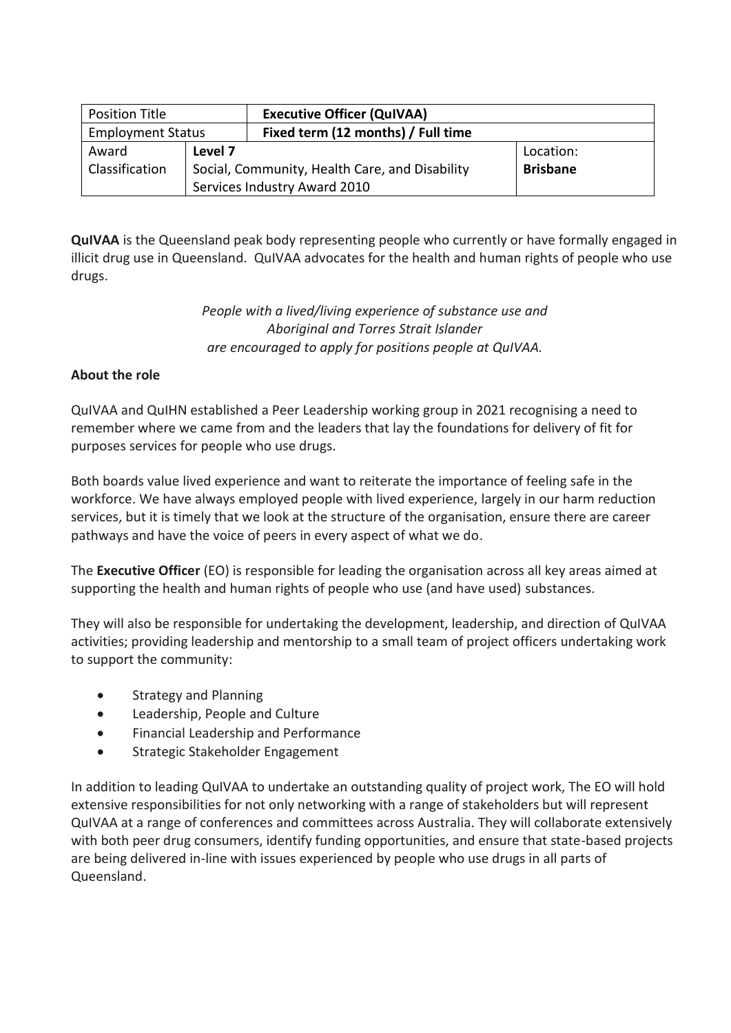| <b>Position Title</b>    |                                                | <b>Executive Officer (QuIVAA)</b>  |                 |
|--------------------------|------------------------------------------------|------------------------------------|-----------------|
| <b>Employment Status</b> |                                                | Fixed term (12 months) / Full time |                 |
| Award                    | Level 7                                        |                                    | Location:       |
| Classification           | Social, Community, Health Care, and Disability |                                    | <b>Brisbane</b> |
|                          | Services Industry Award 2010                   |                                    |                 |

**QuIVAA** is the Queensland peak body representing people who currently or have formally engaged in illicit drug use in Queensland. QuIVAA advocates for the health and human rights of people who use drugs.

# *People with a lived/living experience of substance use and Aboriginal and Torres Strait Islander are encouraged to apply for positions people at QuIVAA.*

# **About the role**

QuIVAA and QuIHN established a Peer Leadership working group in 2021 recognising a need to remember where we came from and the leaders that lay the foundations for delivery of fit for purposes services for people who use drugs.

Both boards value lived experience and want to reiterate the importance of feeling safe in the workforce. We have always employed people with lived experience, largely in our harm reduction services, but it is timely that we look at the structure of the organisation, ensure there are career pathways and have the voice of peers in every aspect of what we do.

The **Executive Officer** (EO) is responsible for leading the organisation across all key areas aimed at supporting the health and human rights of people who use (and have used) substances.

They will also be responsible for undertaking the development, leadership, and direction of QuIVAA activities; providing leadership and mentorship to a small team of project officers undertaking work to support the community:

- Strategy and Planning
- Leadership, People and Culture
- Financial Leadership and Performance
- Strategic Stakeholder Engagement

In addition to leading QuIVAA to undertake an outstanding quality of project work, The EO will hold extensive responsibilities for not only networking with a range of stakeholders but will represent QuIVAA at a range of conferences and committees across Australia. They will collaborate extensively with both peer drug consumers, identify funding opportunities, and ensure that state-based projects are being delivered in-line with issues experienced by people who use drugs in all parts of Queensland.